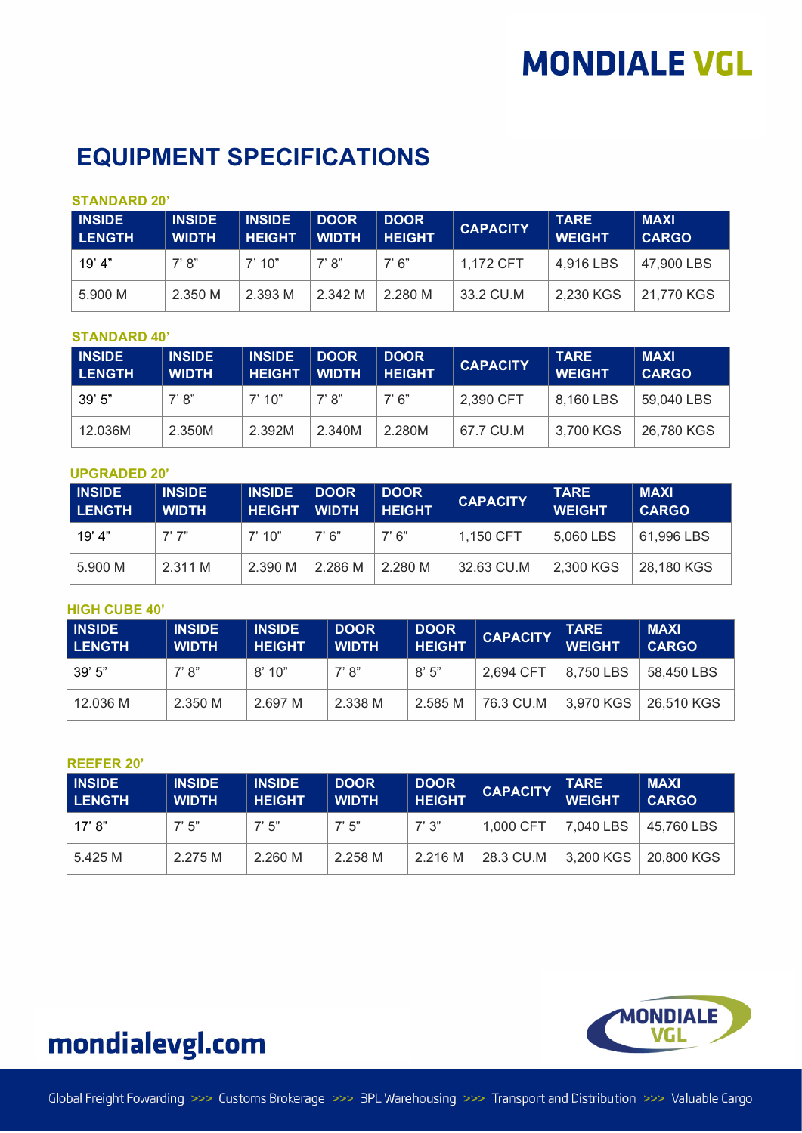## **EQUIPMENT SPECIFICATIONS**

### **STANDARD 20'**

| <b>INSIDE</b><br>LENGTH | <b>INSIDE</b><br><b>WIDTH</b> | <b>INSIDE</b><br><b>HEIGHT</b> | <b>DOOR</b><br><b>WIDTH</b> | <b>DOOR</b><br><b>HEIGHT</b> | <b>CAPACITY</b> | <b>TARE</b><br><b>WEIGHT</b> | <b>MAXI</b><br><b>CARGO</b> |
|-------------------------|-------------------------------|--------------------------------|-----------------------------|------------------------------|-----------------|------------------------------|-----------------------------|
| 19' 4"                  | $7'$ $8"$                     | 7'10''                         | 7' 8"                       | 7'6''                        | 1.172 CFT       | 4.916 LBS                    | 47,900 LBS                  |
| 5.900 M                 | 2.350 M                       | 2.393 M                        | 2.342 M                     | 2.280 M                      | 33.2 CU.M       | 2,230 KGS                    | 21,770 KGS                  |

### **STANDARD 40'**

| <b>INSIDE</b><br>l LENGTH | <b>INSIDE</b><br><b>WIDTH</b> | <b>INSIDE</b><br><b>HEIGHT</b> | <b>DOOR</b><br><b>WIDTH</b> | <b>DOOR</b><br><b>HEIGHT</b> | <b>CAPACITY</b> | <b>TARE</b><br><b>WEIGHT</b> | <b>MAXI</b><br><b>CARGO</b> |
|---------------------------|-------------------------------|--------------------------------|-----------------------------|------------------------------|-----------------|------------------------------|-----------------------------|
| 39'5"                     | 7' 8''                        | 7'10"                          | 7' R"                       | 7'6''                        | 2.390 CFT       | 8.160 LBS                    | 59.040 LBS                  |
| 12.036M                   | 2.350M                        | 2.392M                         | 2.340M                      | 2.280M                       | 67.7 CU.M       | 3,700 KGS                    | 26,780 KGS                  |

### **UPGRADED 20'**

| <b>INSIDE</b><br><b>LENGTH</b> | <b>INSIDE</b><br><b>WIDTH</b> | <b>INSIDE</b><br><b>HEIGHT</b> | <b>DOOR</b><br><b>WIDTH</b> | <b>DOOR</b><br><b>HEIGHT</b> | <b>CAPACITY</b> | <b>TARE</b><br><b>WEIGHT</b> | <b>MAXI</b><br><b>CARGO</b> |
|--------------------------------|-------------------------------|--------------------------------|-----------------------------|------------------------------|-----------------|------------------------------|-----------------------------|
| 19' 4"                         | 7'7''                         | 7'10''                         | 7' 6"                       | 7' 6''                       | 1.150 CFT       | 5.060 LBS                    | 61,996 LBS                  |
| 5.900 M                        | 2.311 M                       | 2.390 M                        | 2.286 M                     | 2.280 M                      | 32.63 CU.M      | 2,300 KGS                    | 28,180 KGS                  |

### **HIGH CUBE 40'**

| <b>INSIDE</b><br><b>LENGTH</b> | <b>INSIDE</b><br><b>WIDTH</b> | <b>INSIDE</b><br><b>HEIGHT</b> | <b>DOOR</b><br><b>WIDTH</b> | <b>DOOR</b><br><b>HEIGHT</b> | <b>CAPACITY</b> | <b>TARE</b><br><b>WEIGHT</b> | <b>MAXI</b><br><b>CARGO</b> |
|--------------------------------|-------------------------------|--------------------------------|-----------------------------|------------------------------|-----------------|------------------------------|-----------------------------|
| 39'5"                          | 7' 8"                         | 8'10"                          | 7' 8''                      | 8'5''                        | 2.694 CFT       | 8,750 LBS                    | 58,450 LBS                  |
| 12.036 M                       | 2.350 M                       | 2.697 M                        | 2.338 M                     | 2.585 M                      | 76.3 CU.M       | 3,970 KGS                    | 26,510 KGS                  |

#### **REEFER 20'**

| <b>INSIDE</b><br><b>LENGTH</b> | <b>INSIDE</b><br><b>WIDTH</b> | <b>INSIDE</b><br><b>HEIGHT</b> | <b>DOOR</b><br><b>WIDTH</b> | <b>DOOR</b><br><b>HEIGHT</b> | <b>CAPACITY</b> | <b>TARE</b><br><b>WEIGHT</b> | <b>MAXI</b><br><b>CARGO</b> |
|--------------------------------|-------------------------------|--------------------------------|-----------------------------|------------------------------|-----------------|------------------------------|-----------------------------|
| 17' 8''                        | 7'5''                         | 7'5''                          | 7'5''                       | 7'3''                        | 1.000 CFT       | 7.040 LBS                    | 45.760 LBS                  |
| 5.425 M                        | 2.275 M                       | 2.260 M                        | 2.258 M                     | 2.216 M                      | 28.3 CU.M       | 3,200 KGS                    | 20,800 KGS                  |



## mondialevgl.com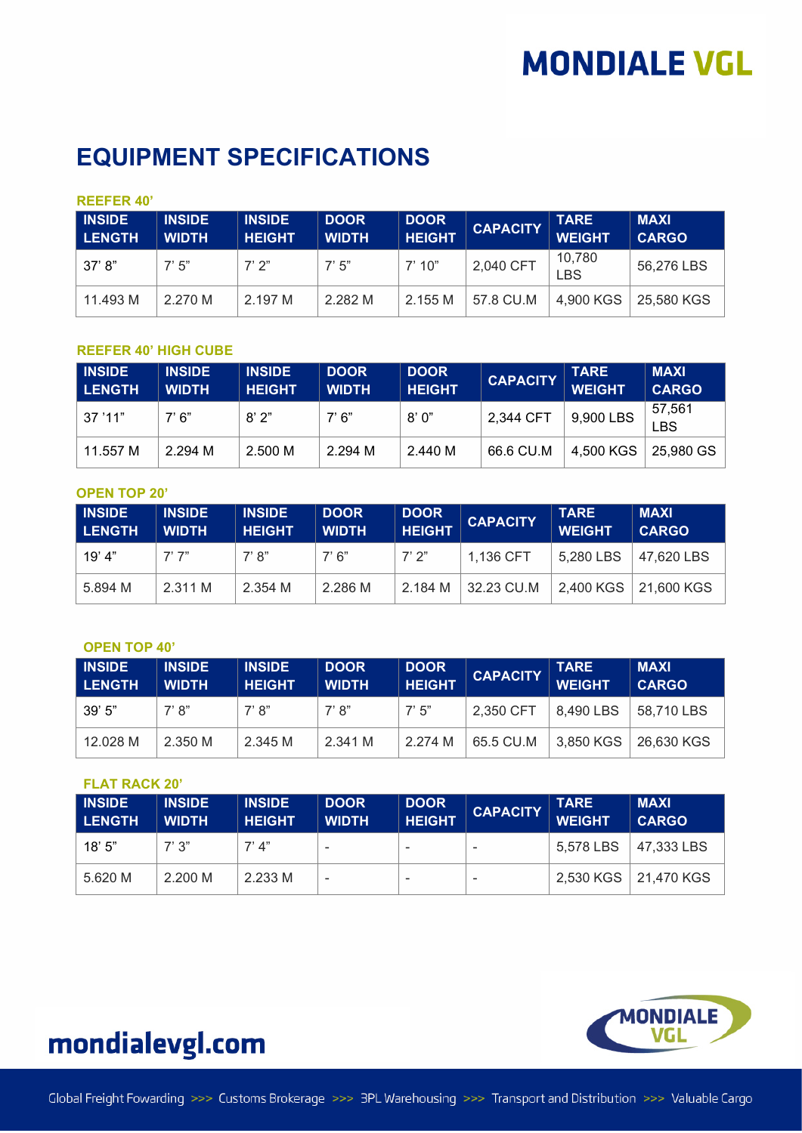### **EQUIPMENT SPECIFICATIONS**

### **REEFER 40'**

| <b>INSIDE</b><br><b>LENGTH</b> | <b>INSIDE</b><br><b>WIDTH</b> | <b>INSIDE</b><br><b>HEIGHT</b> | <b>DOOR</b><br><b>WIDTH</b> | <b>DOOR</b><br><b>HEIGHT</b> | <b>CAPACITY</b> | <b>TARE</b><br><b>WEIGHT</b> | <b>MAXI</b><br><b>CARGO</b> |
|--------------------------------|-------------------------------|--------------------------------|-----------------------------|------------------------------|-----------------|------------------------------|-----------------------------|
| 37' 8''                        | 7'5''                         | $7'$ $2"$                      | 7'5''                       | 7'10''                       | 2,040 CFT       | 10,780<br><b>LBS</b>         | 56,276 LBS                  |
| 11.493 M                       | 2.270 M                       | 2.197 M                        | 2.282 M                     | 2.155 M                      | 57.8 CU.M       | 4,900 KGS                    | 25,580 KGS                  |

### **REEFER 40' HIGH CUBE**

| <b>INSIDE</b><br><b>LENGTH</b> | <b>INSIDE</b><br><b>WIDTH</b> | <b>INSIDE</b><br><b>HEIGHT</b> | <b>DOOR</b><br><b>WIDTH</b> | <b>DOOR</b><br><b>HEIGHT</b> | <b>CAPACITY</b> | TARE<br><b>WEIGHT</b> | <b>MAXI</b><br><b>CARGO</b> |
|--------------------------------|-------------------------------|--------------------------------|-----------------------------|------------------------------|-----------------|-----------------------|-----------------------------|
| $\mid$ 37 '11"                 | 7'6''                         | 8'2"                           | 7' 6"                       | 8'0"                         | 2,344 CFT       | 9,900 LBS             | 57.561<br>BS                |
| 11.557 M                       | 2.294 M                       | 2.500 M                        | 2.294 M                     | 2.440 M                      | 66.6 CU.M       | 4,500 KGS             | 25,980 GS                   |

### **OPEN TOP 20'**

| <b>INSIDE</b><br><b>LENGTH</b> | <b>INSIDE</b><br><b>WIDTH</b> | <b>INSIDE</b><br><b>HEIGHT</b> | <b>DOOR</b><br><b>WIDTH</b> | <b>DOOR</b><br><b>HEIGHT</b> | <b>CAPACITY</b> | <b>TARE</b><br><b>WEIGHT</b> | <b>MAXI</b><br><b>CARGO</b> |
|--------------------------------|-------------------------------|--------------------------------|-----------------------------|------------------------------|-----------------|------------------------------|-----------------------------|
| 19' 4"                         | 7'7''                         | 7' 8"                          | 7' 6''                      | 7'2''                        | 1,136 CFT       | 5,280 LBS                    | 47,620 LBS                  |
| 5.894 M                        | 2.311 M                       | 2.354 M                        | 2.286 M                     | 2.184 M                      | 32.23 CU.M      | 2,400 KGS                    | 21,600 KGS                  |

### **OPEN TOP 40'**

| <b>INSIDE</b><br><b>LENGTH</b> | <b>INSIDE</b><br><b>WIDTH</b> | <b>INSIDE</b><br><b>HEIGHT</b> | <b>DOOR</b><br><b>WIDTH</b> | <b>DOOR</b><br><b>HEIGHT</b> | <b>CAPACITY</b> | <b>TARE</b><br><b>WEIGHT</b> | <b>MAXI</b><br><b>CARGO</b> |
|--------------------------------|-------------------------------|--------------------------------|-----------------------------|------------------------------|-----------------|------------------------------|-----------------------------|
| 39'5''                         | 7' 8''                        | 7' 8"                          | 7' 8"                       | 7'5''                        | 2,350 CFT       | 8,490 LBS                    | 58.710 LBS                  |
| 12.028 M                       | 2.350 M                       | 2.345 M                        | 2.341 M                     | 2.274 M                      | 65.5 CU.M       | 3,850 KGS                    | 26,630 KGS                  |

### **FLAT RACK 20'**

| <b>INSIDE</b><br><b>LENGTH</b> | <b>INSIDE</b><br><b>WIDTH</b> | <b>INSIDE</b><br><b>HEIGHT</b> | <b>DOOR</b><br><b>WIDTH</b> | <b>DOOR</b><br><b>HEIGHT</b> | <b>CAPACITY</b> | <b>TARE</b><br><b>WEIGHT</b> | <b>MAXI</b><br><b>CARGO</b> |
|--------------------------------|-------------------------------|--------------------------------|-----------------------------|------------------------------|-----------------|------------------------------|-----------------------------|
| 18' 5"                         | $7'$ $3"$                     | $7'$ $\Delta$ "                | -                           | $\overline{\phantom{a}}$     | -               | 5.578 LBS                    | 47.333 LBS                  |
| 5.620 M                        | 2.200 M                       | 2.233 M                        |                             | $\overline{\phantom{a}}$     | -               |                              | 2,530 KGS   21,470 KGS      |



## mondialevgl.com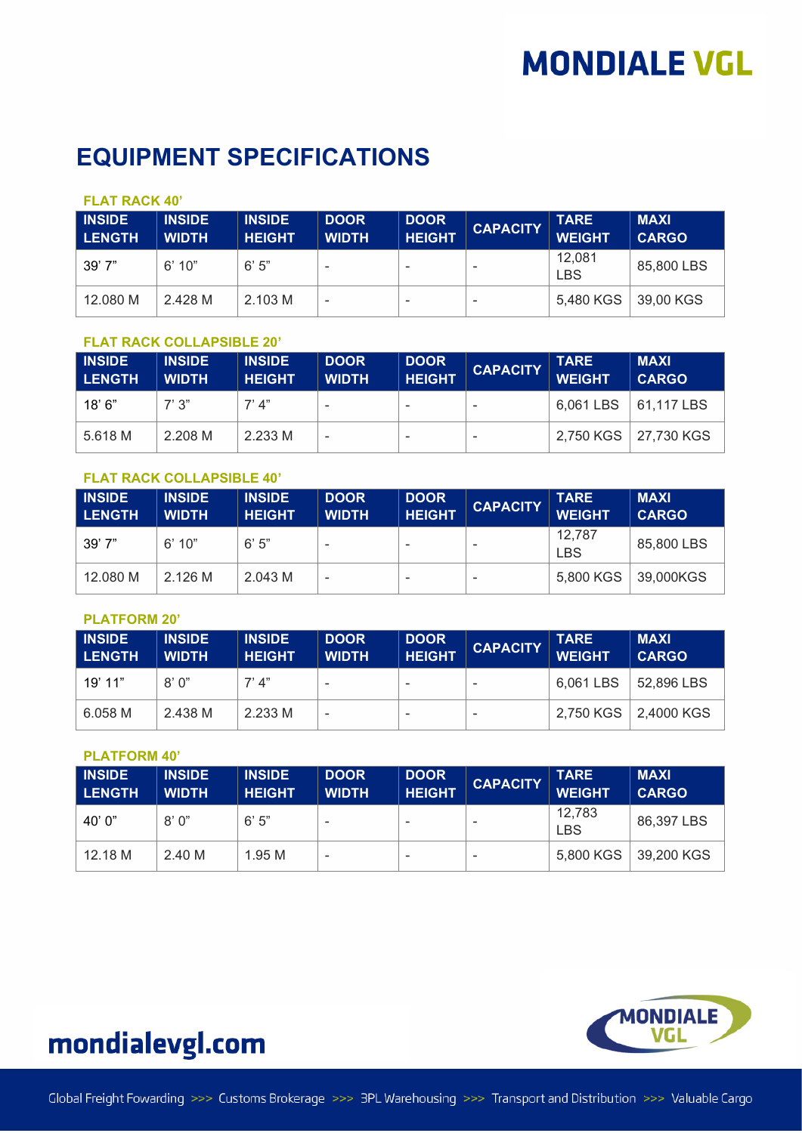## **EQUIPMENT SPECIFICATIONS**

### **FLAT RACK 40'**

| <b>INSIDE</b><br><b>LENGTH</b> | <b>INSIDE</b><br><b>WIDTH</b> | <b>INSIDE</b><br><b>HEIGHT</b> | <b>DOOR</b><br><b>WIDTH</b> | <b>DOOR</b><br><b>HEIGHT</b> | <b>CAPACITY</b> | <b>TARE</b><br><b>WEIGHT</b> | <b>MAXI</b><br><b>CARGO</b> |
|--------------------------------|-------------------------------|--------------------------------|-----------------------------|------------------------------|-----------------|------------------------------|-----------------------------|
| 39' 7"                         | 6' 10"                        | 6'5''                          |                             |                              |                 | 12,081<br><b>LBS</b>         | 85,800 LBS                  |
| 12.080 M                       | 2.428 M                       | 2.103 M                        | ٠                           |                              |                 | 5,480 KGS                    | 39,00 KGS                   |

### **FLAT RACK COLLAPSIBLE 20'**

| <b>INSIDE</b><br><b>LENGTH</b> | <b>INSIDE</b><br><b>WIDTH</b> | <b>INSIDE</b><br><b>HEIGHT</b> | <b>DOOR</b><br><b>WIDTH</b> | <b>DOOR</b><br><b>HEIGHT</b> | <b>CAPACITY</b>          | <b>TARE</b><br><b>WEIGHT</b> | <b>MAXI</b><br><b>CARGO</b> |
|--------------------------------|-------------------------------|--------------------------------|-----------------------------|------------------------------|--------------------------|------------------------------|-----------------------------|
| 18' 6"                         | "? ?"                         | 7' 4"                          | $\overline{\phantom{a}}$    |                              | $\overline{\phantom{a}}$ | 6,061 LBS   61,117 LBS       |                             |
| 5.618 M                        | 2.208 M                       | 2.233 M                        | $\,$                        |                              | ۰                        |                              | 2,750 KGS   27,730 KGS      |

### **FLAT RACK COLLAPSIBLE 40'**

| <b>INSIDE</b><br><b>LENGTH</b> | <b>INSIDE</b><br><b>WIDTH</b> | <b>INSIDE</b><br><b>HEIGHT</b> | <b>DOOR</b><br><b>WIDTH</b> | <b>DOOR</b><br><b>HEIGHT</b> | <b>CAPACITY</b> | <b>TARE</b><br><b>WEIGHT</b> | <b>MAXI</b><br><b>CARGO</b> |
|--------------------------------|-------------------------------|--------------------------------|-----------------------------|------------------------------|-----------------|------------------------------|-----------------------------|
| 39'7"                          | 6'10''                        | 6'5''                          | -                           |                              |                 | 12,787<br><b>LBS</b>         | 85,800 LBS                  |
| 12.080 M                       | 2.126 M                       | 2.043 M                        | $\overline{\phantom{a}}$    | -                            |                 | 5,800 KGS                    | 39,000KGS                   |

#### **PLATFORM 20'**

| <b>INSIDE</b><br><b>LENGTH</b> | <b>INSIDE</b><br><b>WIDTH</b> | <b>INSIDE</b><br><b>HEIGHT</b> | <b>DOOR</b><br><b>WIDTH</b> | <b>DOOR</b><br><b>HEIGHT</b> | <b>CAPACITY</b> | <b>TARE</b><br><b>WEIGHT</b> | <b>MAXI</b><br><b>CARGO</b> |
|--------------------------------|-------------------------------|--------------------------------|-----------------------------|------------------------------|-----------------|------------------------------|-----------------------------|
| 19' 11"                        | 8'0''                         | $7'$ $\Delta$ "                |                             | -                            |                 | 6,061 LBS                    | $\vert$ 52,896 LBS          |
| 6.058 M                        | 2.438 M                       | 2.233 M                        | ٠                           | ٠                            |                 |                              | 2,750 KGS   2,4000 KGS      |

#### **PLATFORM 40'**

| <b>INSIDE</b><br><b>LENGTH</b> | <b>INSIDE</b><br><b>WIDTH</b> | <b>INSIDE</b><br><b>HEIGHT</b> | <b>DOOR</b><br><b>WIDTH</b> | <b>DOOR</b><br><b>HEIGHT</b> | <b>CAPACITY</b> | <b>TARE</b><br><b>WEIGHT</b> | <b>MAXI</b><br><b>CARGO</b> |
|--------------------------------|-------------------------------|--------------------------------|-----------------------------|------------------------------|-----------------|------------------------------|-----------------------------|
| 40' 0"                         | 8'0''                         | 6'5''                          |                             |                              |                 | 12,783<br><b>LBS</b>         | 86,397 LBS                  |
| 12.18 M                        | 2.40 M                        | 1.95M                          |                             |                              |                 |                              | 5,800 KGS   39,200 KGS      |



## mondialevgl.com